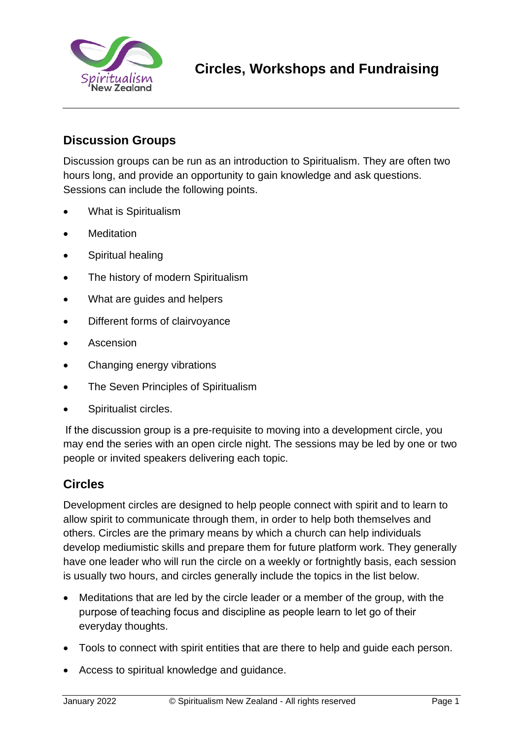

# **Discussion Groups**

Discussion groups can be run as an introduction to Spiritualism. They are often two hours long, and provide an opportunity to gain knowledge and ask questions. Sessions can include the following points.

- What is Spiritualism
- **Meditation**
- Spiritual healing
- The history of modern Spiritualism
- What are guides and helpers
- Different forms of clairvoyance
- **Ascension**
- Changing energy vibrations
- The Seven Principles of Spiritualism
- Spiritualist circles.

 If the discussion group is a pre-requisite to moving into a development circle, you may end the series with an open circle night. The sessions may be led by one or two people or invited speakers delivering each topic.

### **Circles**

Development circles are designed to help people connect with spirit and to learn to allow spirit to communicate through them, in order to help both themselves and others. Circles are the primary means by which a church can help individuals develop mediumistic skills and prepare them for future platform work. They generally have one leader who will run the circle on a weekly or fortnightly basis, each session is usually two hours, and circles generally include the topics in the list below.

- Meditations that are led by the circle leader or a member of the group, with the purpose of teaching focus and discipline as people learn to let go of their everyday thoughts.
- Tools to connect with spirit entities that are there to help and guide each person.
- Access to spiritual knowledge and guidance.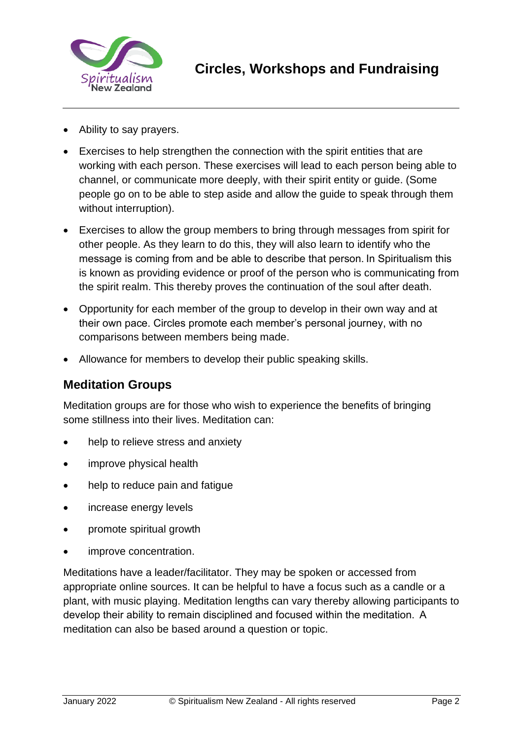

- Ability to say prayers.
- Exercises to help strengthen the connection with the spirit entities that are working with each person. These exercises will lead to each person being able to channel, or communicate more deeply, with their spirit entity or guide. (Some people go on to be able to step aside and allow the guide to speak through them without interruption).
- Exercises to allow the group members to bring through messages from spirit for other people. As they learn to do this, they will also learn to identify who the message is coming from and be able to describe that person. In Spiritualism this is known as providing evidence or proof of the person who is communicating from the spirit realm. This thereby proves the continuation of the soul after death.
- Opportunity for each member of the group to develop in their own way and at their own pace. Circles promote each member's personal journey, with no comparisons between members being made.
- Allowance for members to develop their public speaking skills.

#### **Meditation Groups**

Meditation groups are for those who wish to experience the benefits of bringing some stillness into their lives. Meditation can:

- help to relieve stress and anxiety
- improve physical health
- help to reduce pain and fatigue
- increase energy levels
- promote spiritual growth
- improve concentration.

Meditations have a leader/facilitator. They may be spoken or accessed from appropriate online sources. It can be helpful to have a focus such as a candle or a plant, with music playing. Meditation lengths can vary thereby allowing participants to develop their ability to remain disciplined and focused within the meditation.  A meditation can also be based around a question or topic.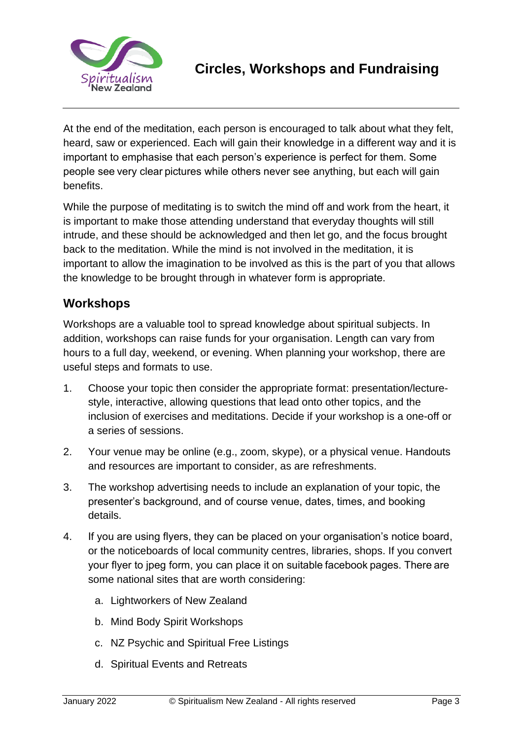

At the end of the meditation, each person is encouraged to talk about what they felt, heard, saw or experienced. Each will gain their knowledge in a different way and it is important to emphasise that each person's experience is perfect for them. Some people see very clear pictures while others never see anything, but each will gain benefits.

While the purpose of meditating is to switch the mind off and work from the heart, it is important to make those attending understand that everyday thoughts will still intrude, and these should be acknowledged and then let go, and the focus brought back to the meditation. While the mind is not involved in the meditation, it is important to allow the imagination to be involved as this is the part of you that allows the knowledge to be brought through in whatever form is appropriate.  

# **Workshops**

Workshops are a valuable tool to spread knowledge about spiritual subjects. In addition, workshops can raise funds for your organisation. Length can vary from hours to a full day, weekend, or evening. When planning your workshop, there are useful steps and formats to use.

- 1. Choose your topic then consider the appropriate format: presentation/lecturestyle, interactive, allowing questions that lead onto other topics, and the inclusion of exercises and meditations. Decide if your workshop is a one-off or a series of sessions.
- 2. Your venue may be online (e.g., zoom, skype), or a physical venue. Handouts and resources are important to consider, as are refreshments.
- 3. The workshop advertising needs to include an explanation of your topic, the presenter's background, and of course venue, dates, times, and booking details.
- 4. If you are using flyers, they can be placed on your organisation's notice board, or the noticeboards of local community centres, libraries, shops. If you convert your flyer to jpeg form, you can place it on suitable facebook pages. There are some national sites that are worth considering:
	- a. Lightworkers of New Zealand
	- b. Mind Body Spirit Workshops
	- c. NZ Psychic and Spiritual Free Listings
	- d. Spiritual Events and Retreats